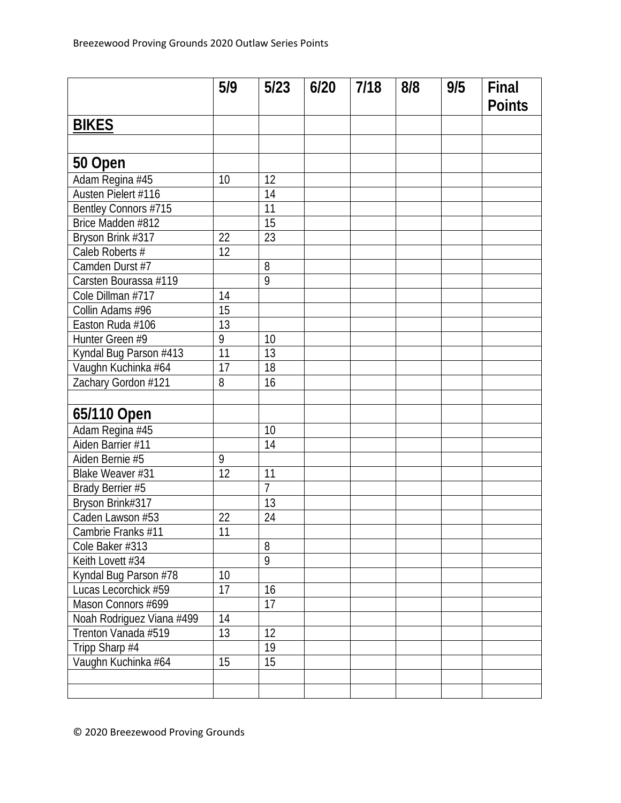|                           | 5/9             | 5/23            | 6/20 | 7/18 | 8/8 | 9/5 | Final         |
|---------------------------|-----------------|-----------------|------|------|-----|-----|---------------|
|                           |                 |                 |      |      |     |     | <b>Points</b> |
| <b>BIKES</b>              |                 |                 |      |      |     |     |               |
|                           |                 |                 |      |      |     |     |               |
| 50 Open                   |                 |                 |      |      |     |     |               |
| Adam Regina #45           | 10              | 12              |      |      |     |     |               |
| Austen Pielert #116       |                 | 14              |      |      |     |     |               |
| Bentley Connors #715      |                 | 11              |      |      |     |     |               |
| Brice Madden #812         |                 | 15              |      |      |     |     |               |
| Bryson Brink #317         | 22              | $\overline{23}$ |      |      |     |     |               |
| Caleb Roberts #           | 12              |                 |      |      |     |     |               |
| Camden Durst #7           |                 | 8               |      |      |     |     |               |
| Carsten Bourassa #119     |                 | $\overline{9}$  |      |      |     |     |               |
| Cole Dillman #717         | 14              |                 |      |      |     |     |               |
| Collin Adams #96          | 15              |                 |      |      |     |     |               |
| Easton Ruda #106          | 13              |                 |      |      |     |     |               |
| Hunter Green #9           | 9               | 10              |      |      |     |     |               |
| Kyndal Bug Parson #413    | $\overline{11}$ | 13              |      |      |     |     |               |
| Vaughn Kuchinka #64       | 17              | 18              |      |      |     |     |               |
| Zachary Gordon #121       | 8               | 16              |      |      |     |     |               |
|                           |                 |                 |      |      |     |     |               |
| 65/110 Open               |                 |                 |      |      |     |     |               |
| Adam Regina #45           |                 | 10              |      |      |     |     |               |
| Aiden Barrier #11         |                 | 14              |      |      |     |     |               |
| Aiden Bernie #5           | 9               |                 |      |      |     |     |               |
| Blake Weaver #31          | 12              | 11              |      |      |     |     |               |
| Brady Berrier #5          |                 | $\overline{7}$  |      |      |     |     |               |
| Bryson Brink#317          |                 | $\overline{13}$ |      |      |     |     |               |
| Caden Lawson #53          | 22              | 24              |      |      |     |     |               |
| Cambrie Franks #11        | 11              |                 |      |      |     |     |               |
| Cole Baker #313           |                 | 8               |      |      |     |     |               |
| Keith Lovett #34          |                 | $\overline{9}$  |      |      |     |     |               |
| Kyndal Bug Parson #78     | 10              |                 |      |      |     |     |               |
| Lucas Lecorchick #59      | 17              | 16              |      |      |     |     |               |
| Mason Connors #699        |                 | 17              |      |      |     |     |               |
| Noah Rodriguez Viana #499 | 14              |                 |      |      |     |     |               |
| Trenton Vanada #519       | 13              | 12              |      |      |     |     |               |
| Tripp Sharp #4            |                 | 19              |      |      |     |     |               |
| Vaughn Kuchinka #64       | 15              | 15              |      |      |     |     |               |
|                           |                 |                 |      |      |     |     |               |
|                           |                 |                 |      |      |     |     |               |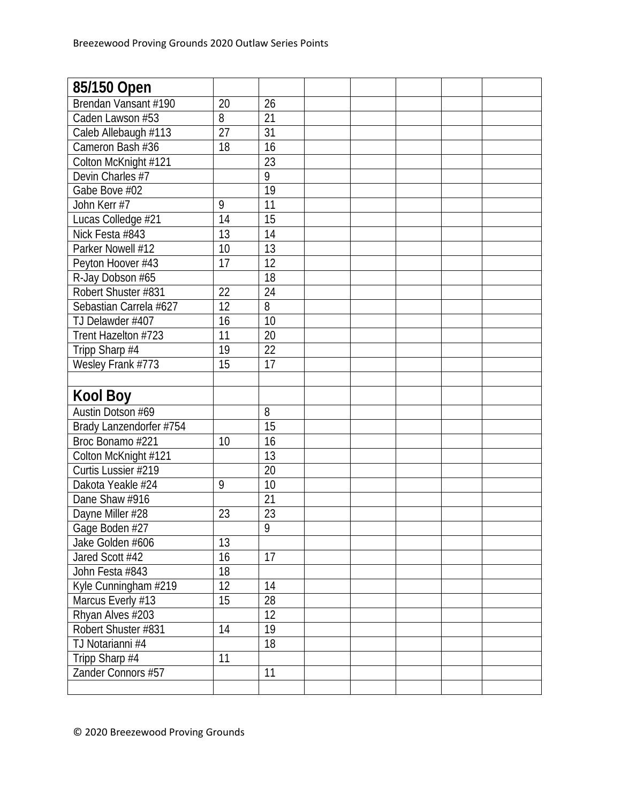| 85/150 Open             |    |                 |  |  |  |
|-------------------------|----|-----------------|--|--|--|
| Brendan Vansant #190    | 20 | 26              |  |  |  |
| Caden Lawson #53        | 8  | 21              |  |  |  |
| Caleb Allebaugh #113    | 27 | $\overline{31}$ |  |  |  |
| Cameron Bash #36        | 18 | 16              |  |  |  |
| Colton McKnight #121    |    | $\overline{23}$ |  |  |  |
| Devin Charles #7        |    | 9               |  |  |  |
| Gabe Bove #02           |    | $\overline{19}$ |  |  |  |
| John Kerr #7            | 9  | 11              |  |  |  |
| Lucas Colledge #21      | 14 | 15              |  |  |  |
| Nick Festa #843         | 13 | 14              |  |  |  |
| Parker Nowell #12       | 10 | $\overline{13}$ |  |  |  |
| Peyton Hoover #43       | 17 | 12              |  |  |  |
| R-Jay Dobson #65        |    | 18              |  |  |  |
| Robert Shuster #831     | 22 | 24              |  |  |  |
| Sebastian Carrela #627  | 12 | 8               |  |  |  |
| TJ Delawder #407        | 16 | 10              |  |  |  |
| Trent Hazelton #723     | 11 | 20              |  |  |  |
| Tripp Sharp #4          | 19 | 22              |  |  |  |
| Wesley Frank #773       | 15 | 17              |  |  |  |
|                         |    |                 |  |  |  |
| <b>Kool Boy</b>         |    |                 |  |  |  |
| Austin Dotson #69       |    | 8               |  |  |  |
| Brady Lanzendorfer #754 |    | $\overline{15}$ |  |  |  |
| Broc Bonamo #221        | 10 | 16              |  |  |  |
| Colton McKnight #121    |    |                 |  |  |  |
|                         |    | 13              |  |  |  |
| Curtis Lussier #219     |    | 20              |  |  |  |
| Dakota Yeakle #24       | 9  | 10              |  |  |  |
| Dane Shaw #916          |    | 21              |  |  |  |
| Dayne Miller #28        | 23 | 23              |  |  |  |
| Gage Boden #27          |    | 9               |  |  |  |
| Jake Golden #606        | 13 |                 |  |  |  |
| Jared Scott #42         | 16 | 17              |  |  |  |
| John Festa #843         | 18 |                 |  |  |  |
| Kyle Cunningham #219    | 12 | 14              |  |  |  |
| Marcus Everly #13       | 15 | 28              |  |  |  |
| Rhyan Alves #203        |    | 12              |  |  |  |
| Robert Shuster #831     | 14 | 19              |  |  |  |
| TJ Notarianni #4        |    | $\overline{18}$ |  |  |  |
| Tripp Sharp #4          | 11 |                 |  |  |  |
| Zander Connors #57      |    | 11              |  |  |  |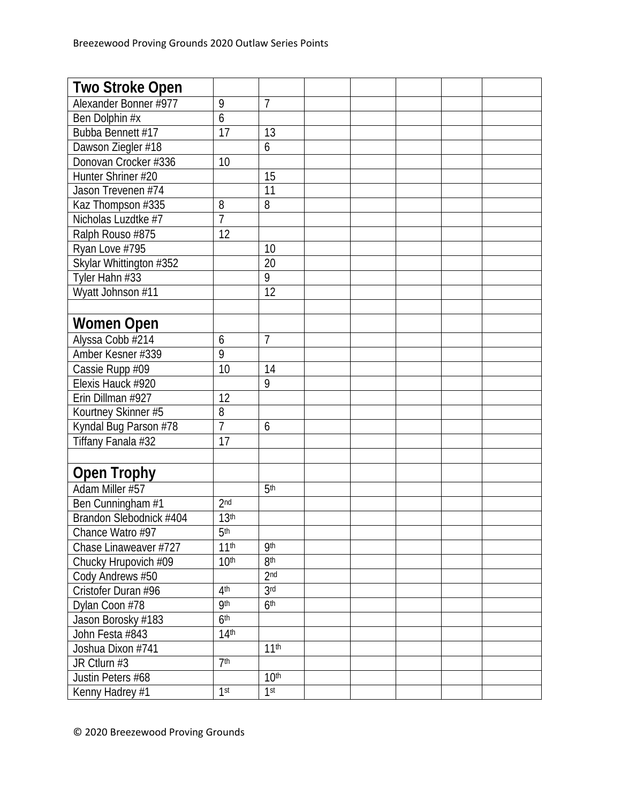| <b>Two Stroke Open</b>  |                  |                  |  |  |  |
|-------------------------|------------------|------------------|--|--|--|
| Alexander Bonner #977   | 9                | $\overline{7}$   |  |  |  |
| Ben Dolphin #x          | 6                |                  |  |  |  |
| Bubba Bennett #17       | 17               | 13               |  |  |  |
| Dawson Ziegler #18      |                  | 6                |  |  |  |
| Donovan Crocker #336    | 10               |                  |  |  |  |
| Hunter Shriner #20      |                  | 15               |  |  |  |
| Jason Trevenen #74      |                  | $\overline{11}$  |  |  |  |
| Kaz Thompson #335       | 8                | 8                |  |  |  |
| Nicholas Luzdtke #7     | 7                |                  |  |  |  |
| Ralph Rouso #875        | 12               |                  |  |  |  |
| Ryan Love #795          |                  | 10               |  |  |  |
| Skylar Whittington #352 |                  | 20               |  |  |  |
| Tyler Hahn #33          |                  | 9                |  |  |  |
| Wyatt Johnson #11       |                  | 12               |  |  |  |
|                         |                  |                  |  |  |  |
| <b>Women Open</b>       |                  |                  |  |  |  |
| Alyssa Cobb #214        | 6                | 7                |  |  |  |
| Amber Kesner #339       | 9                |                  |  |  |  |
| Cassie Rupp #09         | 10               | 14               |  |  |  |
| Elexis Hauck #920       |                  | 9                |  |  |  |
| Erin Dillman #927       | 12               |                  |  |  |  |
| Kourtney Skinner #5     | 8                |                  |  |  |  |
| Kyndal Bug Parson #78   | $\overline{7}$   | 6                |  |  |  |
| Tiffany Fanala #32      | 17               |                  |  |  |  |
|                         |                  |                  |  |  |  |
| <b>Open Trophy</b>      |                  |                  |  |  |  |
| Adam Miller #57         |                  | 5 <sup>th</sup>  |  |  |  |
| Ben Cunningham #1       | 2 <sub>nd</sub>  |                  |  |  |  |
| Brandon Slebodnick #404 | 13 <sup>th</sup> |                  |  |  |  |
| Chance Watro #97        | 5 <sup>th</sup>  |                  |  |  |  |
| Chase Linaweaver #727   | 11 <sup>th</sup> | <b>9th</b>       |  |  |  |
| Chucky Hrupovich #09    | 10 <sup>th</sup> | 8 <sup>th</sup>  |  |  |  |
| Cody Andrews #50        |                  | 2 <sub>nd</sub>  |  |  |  |
| Cristofer Duran #96     | 4 <sup>th</sup>  | 3 <sub>rd</sub>  |  |  |  |
| Dylan Coon #78          | <b>9th</b>       | 6 <sup>th</sup>  |  |  |  |
| Jason Borosky #183      | 6 <sup>th</sup>  |                  |  |  |  |
| John Festa #843         | 14 <sup>th</sup> |                  |  |  |  |
| Joshua Dixon #741       |                  | 11 <sup>th</sup> |  |  |  |
| JR Ctlurn #3            | 7 <sup>th</sup>  |                  |  |  |  |
| Justin Peters #68       |                  | 10 <sup>th</sup> |  |  |  |
| Kenny Hadrey #1         | 1 <sup>st</sup>  | 1 <sup>st</sup>  |  |  |  |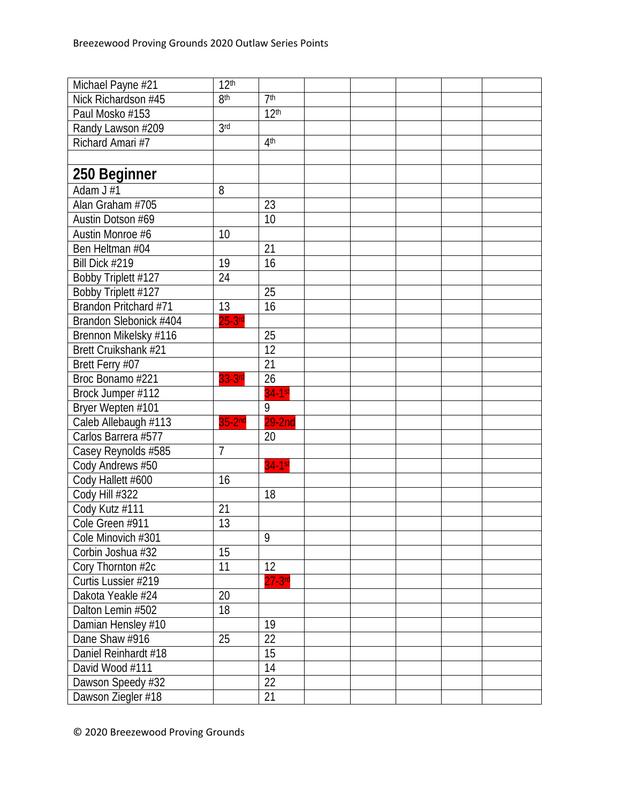| Michael Payne #21      | 12 <sup>th</sup> |                  |  |  |  |
|------------------------|------------------|------------------|--|--|--|
| Nick Richardson #45    | 8 <sup>th</sup>  | 7 <sup>th</sup>  |  |  |  |
| Paul Mosko #153        |                  | 12 <sup>th</sup> |  |  |  |
| Randy Lawson #209      | 3 <sup>rd</sup>  |                  |  |  |  |
| Richard Amari #7       |                  | 4 <sup>th</sup>  |  |  |  |
|                        |                  |                  |  |  |  |
| 250 Beginner           |                  |                  |  |  |  |
| Adam $J#1$             | 8                |                  |  |  |  |
| Alan Graham #705       |                  | 23               |  |  |  |
| Austin Dotson #69      |                  | 10               |  |  |  |
| Austin Monroe #6       | 10               |                  |  |  |  |
| Ben Heltman #04        |                  | 21               |  |  |  |
| Bill Dick #219         | 19               | 16               |  |  |  |
| Bobby Triplett #127    | 24               |                  |  |  |  |
| Bobby Triplett #127    |                  | 25               |  |  |  |
| Brandon Pritchard #71  | 13               | 16               |  |  |  |
| Brandon Slebonick #404 | $25-3$ rd        |                  |  |  |  |
| Brennon Mikelsky #116  |                  | 25               |  |  |  |
| Brett Cruikshank #21   |                  | 12               |  |  |  |
| Brett Ferry #07        |                  | 21               |  |  |  |
| Broc Bonamo #221       | 33-3rd           | 26               |  |  |  |
| Brock Jumper #112      |                  | $34-1$ st        |  |  |  |
| Bryer Wepten #101      |                  | 9                |  |  |  |
| Caleb Allebaugh #113   | $35-2nd$         | $29-2nd$         |  |  |  |
| Carlos Barrera #577    |                  | 20               |  |  |  |
| Casey Reynolds #585    | $\overline{7}$   |                  |  |  |  |
| Cody Andrews #50       |                  | $34-1$ st        |  |  |  |
| Cody Hallett #600      | 16               |                  |  |  |  |
| Cody Hill #322         |                  | 18               |  |  |  |
| Cody Kutz #111         | 21               |                  |  |  |  |
| Cole Green #911        | 13               |                  |  |  |  |
| Cole Minovich #301     |                  | 9                |  |  |  |
| Corbin Joshua #32      | 15               |                  |  |  |  |
| Cory Thornton #2c      | 11               | 12               |  |  |  |
| Curtis Lussier #219    |                  | $27 - 3$ rd      |  |  |  |
| Dakota Yeakle #24      | 20               |                  |  |  |  |
| Dalton Lemin #502      | 18               |                  |  |  |  |
| Damian Hensley #10     |                  | 19               |  |  |  |
| Dane Shaw #916         | 25               | 22               |  |  |  |
| Daniel Reinhardt #18   |                  | 15               |  |  |  |
| David Wood #111        |                  | 14               |  |  |  |
| Dawson Speedy #32      |                  | 22               |  |  |  |
| Dawson Ziegler #18     |                  | 21               |  |  |  |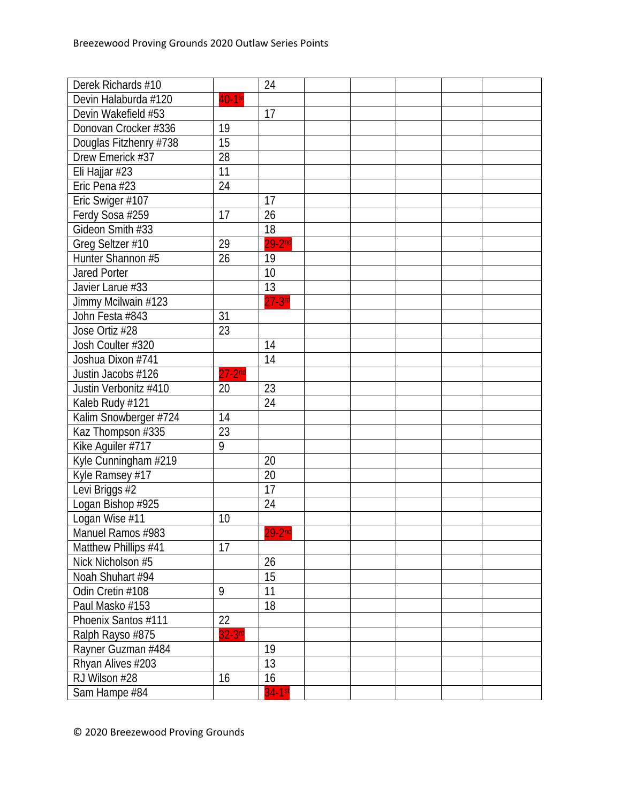| Derek Richards #10     |           | 24        |  |  |  |
|------------------------|-----------|-----------|--|--|--|
| Devin Halaburda #120   | $40-1$ st |           |  |  |  |
| Devin Wakefield #53    |           | 17        |  |  |  |
| Donovan Crocker #336   | 19        |           |  |  |  |
| Douglas Fitzhenry #738 | 15        |           |  |  |  |
| Drew Emerick #37       | 28        |           |  |  |  |
| Eli Hajjar #23         | 11        |           |  |  |  |
| Eric Pena #23          | 24        |           |  |  |  |
| Eric Swiger #107       |           | 17        |  |  |  |
| Ferdy Sosa #259        | 17        | 26        |  |  |  |
| Gideon Smith #33       |           | 18        |  |  |  |
| Greg Seltzer #10       | 29        | $29-2nd$  |  |  |  |
| Hunter Shannon #5      | 26        | 19        |  |  |  |
| <b>Jared Porter</b>    |           | 10        |  |  |  |
| Javier Larue #33       |           | 13        |  |  |  |
| Jimmy Mcilwain #123    |           | $27-3$ rd |  |  |  |
| John Festa #843        | 31        |           |  |  |  |
| Jose Ortiz #28         | 23        |           |  |  |  |
| Josh Coulter #320      |           | 14        |  |  |  |
| Joshua Dixon #741      |           | 14        |  |  |  |
| Justin Jacobs #126     | $27-2nd$  |           |  |  |  |
| Justin Verbonitz #410  | 20        | 23        |  |  |  |
| Kaleb Rudy #121        |           | 24        |  |  |  |
| Kalim Snowberger #724  | 14        |           |  |  |  |
| Kaz Thompson #335      | 23        |           |  |  |  |
| Kike Aguiler #717      | 9         |           |  |  |  |
| Kyle Cunningham #219   |           | 20        |  |  |  |
| Kyle Ramsey #17        |           | 20        |  |  |  |
| Levi Briggs #2         |           | 17        |  |  |  |
| Logan Bishop #925      |           | 24        |  |  |  |
| Logan Wise #11         | 10        |           |  |  |  |
| Manuel Ramos #983      |           | $29-2nd$  |  |  |  |
| Matthew Phillips #41   | 17        |           |  |  |  |
| Nick Nicholson #5      |           | 26        |  |  |  |
| Noah Shuhart #94       |           | 15        |  |  |  |
| Odin Cretin #108       | 9         | 11        |  |  |  |
| Paul Masko #153        |           | 18        |  |  |  |
| Phoenix Santos #111    | 22        |           |  |  |  |
| Ralph Rayso #875       | $32-3rd$  |           |  |  |  |
| Rayner Guzman #484     |           | 19        |  |  |  |
| Rhyan Alives #203      |           | 13        |  |  |  |
| RJ Wilson #28          | 16        | 16        |  |  |  |
| Sam Hampe #84          |           | 34-1st    |  |  |  |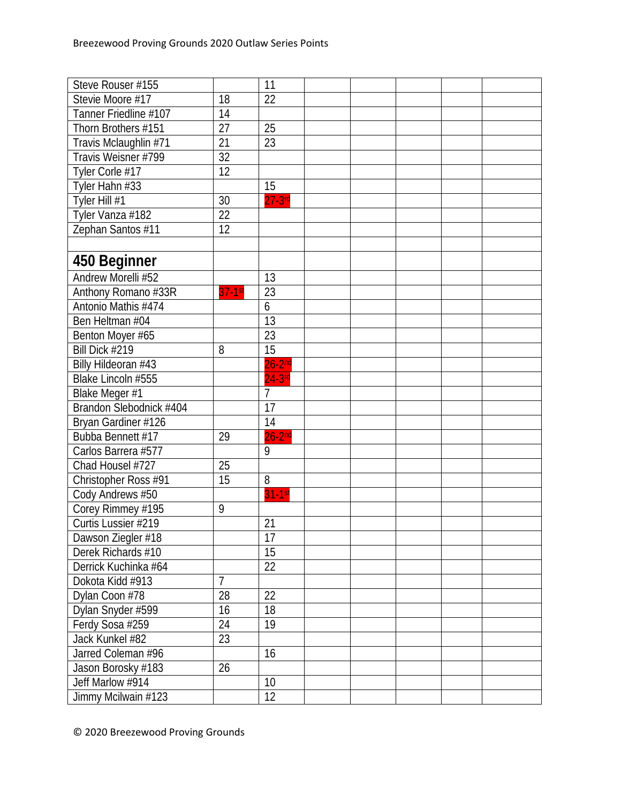| Steve Rouser #155       |                | 11             |  |  |  |
|-------------------------|----------------|----------------|--|--|--|
| Stevie Moore #17        | 18             | 22             |  |  |  |
| Tanner Friedline #107   | 14             |                |  |  |  |
| Thorn Brothers #151     | 27             | 25             |  |  |  |
| Travis Mclaughlin #71   | 21             | 23             |  |  |  |
| Travis Weisner #799     | 32             |                |  |  |  |
| Tyler Corle #17         | 12             |                |  |  |  |
| Tyler Hahn #33          |                | 15             |  |  |  |
| Tyler Hill #1           | 30             | $27-3$ rd      |  |  |  |
| Tyler Vanza #182        | 22             |                |  |  |  |
| Zephan Santos #11       | 12             |                |  |  |  |
|                         |                |                |  |  |  |
| 450 Beginner            |                |                |  |  |  |
| Andrew Morelli #52      |                | 13             |  |  |  |
| Anthony Romano #33R     | $37 - 1$ st    | 23             |  |  |  |
| Antonio Mathis #474     |                | 6              |  |  |  |
| Ben Heltman #04         |                | 13             |  |  |  |
| Benton Moyer #65        |                | 23             |  |  |  |
| Bill Dick #219          | 8              | 15             |  |  |  |
| Billy Hildeoran #43     |                | $26-2nd$       |  |  |  |
| Blake Lincoln #555      |                | $24 - 3$ rd    |  |  |  |
| Blake Meger #1          |                | $\overline{7}$ |  |  |  |
| Brandon Slebodnick #404 |                | 17             |  |  |  |
| Bryan Gardiner #126     |                | 14             |  |  |  |
| Bubba Bennett #17       | 29             | $26-2nd$       |  |  |  |
| Carlos Barrera #577     |                | 9              |  |  |  |
| Chad Housel #727        | 25             |                |  |  |  |
| Christopher Ross #91    | 15             | 8              |  |  |  |
| Cody Andrews #50        |                | $31-1st$       |  |  |  |
| Corey Rimmey #195       | 9              |                |  |  |  |
| Curtis Lussier #219     |                | 21             |  |  |  |
| Dawson Ziegler #18      |                | 17             |  |  |  |
| Derek Richards #10      |                | 15             |  |  |  |
| Derrick Kuchinka #64    |                | 22             |  |  |  |
| Dokota Kidd #913        | $\overline{7}$ |                |  |  |  |
| Dylan Coon #78          | 28             | 22             |  |  |  |
| Dylan Snyder #599       | 16             | 18             |  |  |  |
| Ferdy Sosa #259         | 24             | 19             |  |  |  |
| Jack Kunkel #82         | 23             |                |  |  |  |
| Jarred Coleman #96      |                | 16             |  |  |  |
| Jason Borosky #183      | 26             |                |  |  |  |
| Jeff Marlow #914        |                | 10             |  |  |  |
| Jimmy Mcilwain #123     |                | 12             |  |  |  |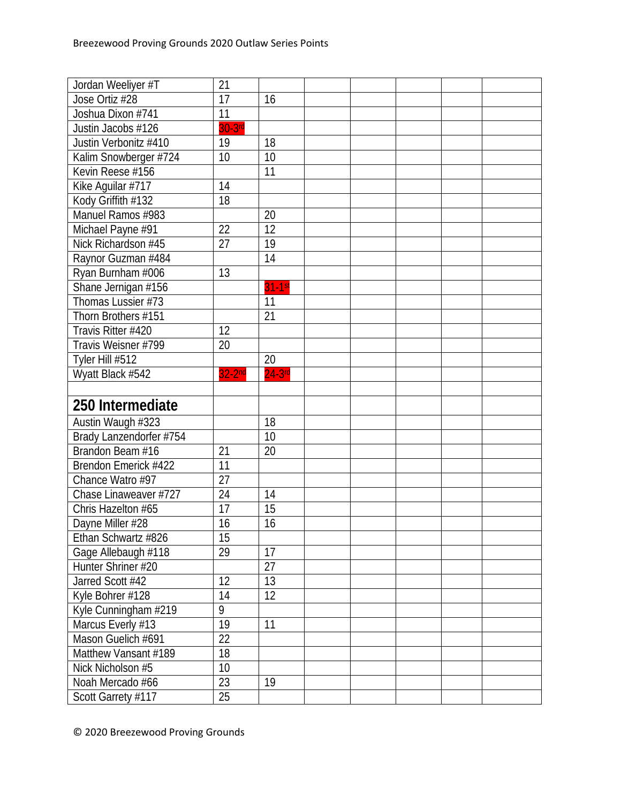| Jordan Weeliyer #T                          | 21              |             |  |  |  |
|---------------------------------------------|-----------------|-------------|--|--|--|
| Jose Ortiz #28                              | 17              | 16          |  |  |  |
| Joshua Dixon #741                           | 11              |             |  |  |  |
| Justin Jacobs #126                          | $30-3rd$        |             |  |  |  |
| Justin Verbonitz #410                       | 19              | 18          |  |  |  |
| Kalim Snowberger #724                       | 10              | 10          |  |  |  |
| Kevin Reese #156                            |                 | 11          |  |  |  |
| Kike Aguilar #717                           | 14              |             |  |  |  |
| Kody Griffith #132                          | 18              |             |  |  |  |
| Manuel Ramos #983                           |                 | 20          |  |  |  |
| Michael Payne #91                           | 22              | 12          |  |  |  |
| Nick Richardson #45                         | $\overline{27}$ | 19          |  |  |  |
| Raynor Guzman #484                          |                 | 14          |  |  |  |
| Ryan Burnham #006                           | 13              |             |  |  |  |
| Shane Jernigan #156                         |                 | $31-1st$    |  |  |  |
| Thomas Lussier #73                          |                 | 11          |  |  |  |
| Thorn Brothers #151                         |                 | 21          |  |  |  |
| Travis Ritter #420                          | 12              |             |  |  |  |
| Travis Weisner #799                         | 20              |             |  |  |  |
| Tyler Hill #512                             |                 | 20          |  |  |  |
| Wyatt Black #542                            | $32-2nd$        | $24 - 3$ rd |  |  |  |
|                                             |                 |             |  |  |  |
|                                             |                 |             |  |  |  |
| 250 Intermediate                            |                 |             |  |  |  |
|                                             |                 | 18          |  |  |  |
| Austin Waugh #323                           |                 | 10          |  |  |  |
| Brady Lanzendorfer #754<br>Brandon Beam #16 | 21              | 20          |  |  |  |
| Brendon Emerick #422                        | 11              |             |  |  |  |
| Chance Watro #97                            | 27              |             |  |  |  |
| Chase Linaweaver #727                       | 24              | 14          |  |  |  |
| Chris Hazelton #65                          | 17              | 15          |  |  |  |
| Dayne Miller #28                            | 16              | 16          |  |  |  |
| Ethan Schwartz #826                         | 15              |             |  |  |  |
| Gage Allebaugh #118                         | 29              | 17          |  |  |  |
| Hunter Shriner #20                          |                 | 27          |  |  |  |
| Jarred Scott #42                            | 12              | 13          |  |  |  |
| Kyle Bohrer #128                            | 14              | 12          |  |  |  |
| Kyle Cunningham #219                        | 9               |             |  |  |  |
| Marcus Everly #13                           | 19              | 11          |  |  |  |
| Mason Guelich #691                          | 22              |             |  |  |  |
| Matthew Vansant #189                        | 18              |             |  |  |  |
| Nick Nicholson #5                           | 10              |             |  |  |  |
| Noah Mercado #66                            | 23              | 19          |  |  |  |
| Scott Garrety #117                          | 25              |             |  |  |  |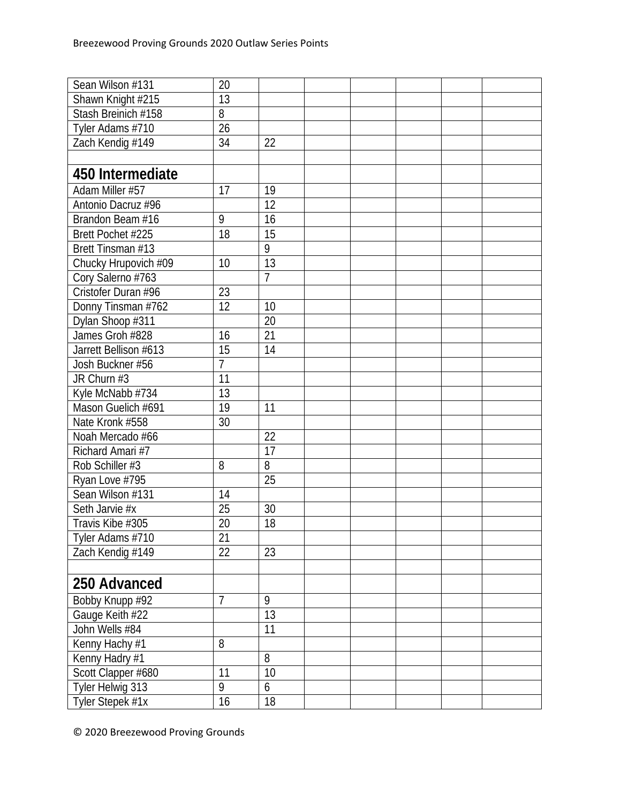| Sean Wilson #131      | 20              |                |  |  |  |
|-----------------------|-----------------|----------------|--|--|--|
| Shawn Knight #215     | 13              |                |  |  |  |
| Stash Breinich #158   | 8               |                |  |  |  |
| Tyler Adams #710      | 26              |                |  |  |  |
| Zach Kendig #149      | 34              | 22             |  |  |  |
|                       |                 |                |  |  |  |
| 450 Intermediate      |                 |                |  |  |  |
| Adam Miller #57       | 17              | 19             |  |  |  |
| Antonio Dacruz #96    |                 | 12             |  |  |  |
| Brandon Beam #16      | 9               | 16             |  |  |  |
| Brett Pochet #225     | 18              | 15             |  |  |  |
| Brett Tinsman #13     |                 | 9              |  |  |  |
| Chucky Hrupovich #09  | 10              | 13             |  |  |  |
| Cory Salerno #763     |                 | $\overline{7}$ |  |  |  |
| Cristofer Duran #96   | 23              |                |  |  |  |
| Donny Tinsman #762    | $\overline{12}$ | 10             |  |  |  |
| Dylan Shoop #311      |                 | 20             |  |  |  |
| James Groh #828       | 16              | 21             |  |  |  |
| Jarrett Bellison #613 | 15              | 14             |  |  |  |
| Josh Buckner #56      | $\overline{7}$  |                |  |  |  |
| JR Churn #3           | 11              |                |  |  |  |
| Kyle McNabb #734      | 13              |                |  |  |  |
| Mason Guelich #691    | 19              | 11             |  |  |  |
| Nate Kronk #558       | 30              |                |  |  |  |
| Noah Mercado #66      |                 | 22             |  |  |  |
| Richard Amari #7      |                 | 17             |  |  |  |
| Rob Schiller #3       | 8               | 8              |  |  |  |
| Ryan Love #795        |                 | 25             |  |  |  |
| Sean Wilson #131      | 14              |                |  |  |  |
| Seth Jarvie #x        | 25              | 30             |  |  |  |
| Travis Kibe #305      | 20              | 18             |  |  |  |
| Tyler Adams #710      | 21              |                |  |  |  |
| Zach Kendig #149      | 22              | 23             |  |  |  |
|                       |                 |                |  |  |  |
| 250 Advanced          |                 |                |  |  |  |
| Bobby Knupp #92       | $\overline{7}$  | 9              |  |  |  |
| Gauge Keith #22       |                 | 13             |  |  |  |
| John Wells #84        |                 | 11             |  |  |  |
| Kenny Hachy #1        | 8               |                |  |  |  |
| Kenny Hadry #1        |                 | 8              |  |  |  |
| Scott Clapper #680    | $\overline{11}$ | 10             |  |  |  |
| Tyler Helwig 313      | 9               | 6              |  |  |  |
| Tyler Stepek #1x      | 16              | 18             |  |  |  |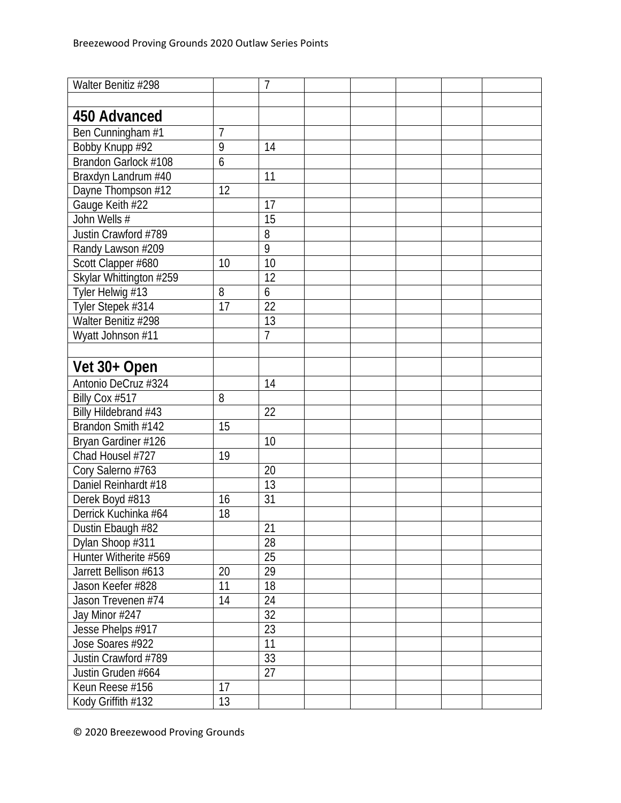| Walter Benitiz #298     |    | $\overline{7}$  |  |  |  |
|-------------------------|----|-----------------|--|--|--|
|                         |    |                 |  |  |  |
| 450 Advanced            |    |                 |  |  |  |
| Ben Cunningham #1       | 7  |                 |  |  |  |
| Bobby Knupp #92         | 9  | 14              |  |  |  |
| Brandon Garlock #108    | 6  |                 |  |  |  |
| Braxdyn Landrum #40     |    | 11              |  |  |  |
| Dayne Thompson #12      | 12 |                 |  |  |  |
| Gauge Keith #22         |    | 17              |  |  |  |
| John Wells #            |    | 15              |  |  |  |
| Justin Crawford #789    |    | 8               |  |  |  |
| Randy Lawson #209       |    | 9               |  |  |  |
| Scott Clapper #680      | 10 | 10              |  |  |  |
| Skylar Whittington #259 |    | 12              |  |  |  |
| Tyler Helwig #13        | 8  | 6               |  |  |  |
| Tyler Stepek #314       | 17 | 22              |  |  |  |
| Walter Benitiz #298     |    | 13              |  |  |  |
| Wyatt Johnson #11       |    | $\overline{7}$  |  |  |  |
|                         |    |                 |  |  |  |
| Vet 30+ Open            |    |                 |  |  |  |
| Antonio DeCruz #324     |    | 14              |  |  |  |
| Billy Cox #517          | 8  |                 |  |  |  |
| Billy Hildebrand #43    |    | $\overline{22}$ |  |  |  |
| Brandon Smith #142      | 15 |                 |  |  |  |
| Bryan Gardiner #126     |    | 10              |  |  |  |
| Chad Housel #727        | 19 |                 |  |  |  |
| Cory Salerno #763       |    | 20              |  |  |  |
| Daniel Reinhardt #18    |    | 13              |  |  |  |
| Derek Boyd #813         | 16 | 31              |  |  |  |
| Derrick Kuchinka #64    | 18 |                 |  |  |  |
| Dustin Ebaugh #82       |    | 21              |  |  |  |
| Dylan Shoop #311        |    | 28              |  |  |  |
| Hunter Witherite #569   |    | 25              |  |  |  |
| Jarrett Bellison #613   | 20 | 29              |  |  |  |
| Jason Keefer #828       | 11 | 18              |  |  |  |
| Jason Trevenen #74      | 14 | 24              |  |  |  |
| Jay Minor #247          |    | 32              |  |  |  |
| Jesse Phelps #917       |    | 23              |  |  |  |
| Jose Soares #922        |    | 11              |  |  |  |
| Justin Crawford #789    |    | 33              |  |  |  |
| Justin Gruden #664      |    | 27              |  |  |  |
| Keun Reese #156         | 17 |                 |  |  |  |
| Kody Griffith #132      | 13 |                 |  |  |  |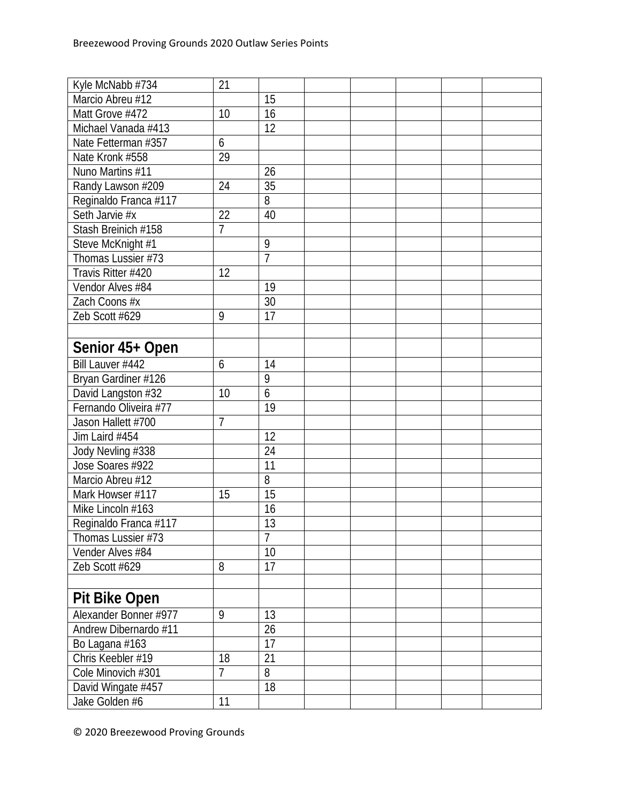| Kyle McNabb #734      | 21              |                |  |  |  |
|-----------------------|-----------------|----------------|--|--|--|
| Marcio Abreu #12      |                 | 15             |  |  |  |
| Matt Grove #472       | 10              | 16             |  |  |  |
| Michael Vanada #413   |                 | 12             |  |  |  |
| Nate Fetterman #357   | 6               |                |  |  |  |
| Nate Kronk #558       | $\overline{29}$ |                |  |  |  |
| Nuno Martins #11      |                 | 26             |  |  |  |
| Randy Lawson #209     | 24              | 35             |  |  |  |
| Reginaldo Franca #117 |                 | 8              |  |  |  |
| Seth Jarvie #x        | 22              | 40             |  |  |  |
| Stash Breinich #158   | $\overline{7}$  |                |  |  |  |
| Steve McKnight #1     |                 | 9              |  |  |  |
| Thomas Lussier #73    |                 | $\overline{1}$ |  |  |  |
| Travis Ritter #420    | 12              |                |  |  |  |
| Vendor Alves #84      |                 | 19             |  |  |  |
| Zach Coons #x         |                 | 30             |  |  |  |
| Zeb Scott #629        | 9               | 17             |  |  |  |
|                       |                 |                |  |  |  |
| Senior 45+ Open       |                 |                |  |  |  |
| Bill Lauver #442      | 6               | 14             |  |  |  |
| Bryan Gardiner #126   |                 | 9              |  |  |  |
| David Langston #32    | 10              | 6              |  |  |  |
| Fernando Oliveira #77 |                 | 19             |  |  |  |
| Jason Hallett #700    | $\overline{7}$  |                |  |  |  |
| Jim Laird #454        |                 | 12             |  |  |  |
| Jody Nevling #338     |                 | 24             |  |  |  |
| Jose Soares #922      |                 | 11             |  |  |  |
| Marcio Abreu #12      |                 | 8              |  |  |  |
| Mark Howser #117      | 15              | 15             |  |  |  |
| Mike Lincoln #163     |                 | 16             |  |  |  |
| Reginaldo Franca #117 |                 | 13             |  |  |  |
| Thomas Lussier #73    |                 | $\overline{1}$ |  |  |  |
| Vender Alves #84      |                 | 10             |  |  |  |
| Zeb Scott #629        | 8               | 17             |  |  |  |
|                       |                 |                |  |  |  |
| <b>Pit Bike Open</b>  |                 |                |  |  |  |
| Alexander Bonner #977 | 9               | 13             |  |  |  |
| Andrew Dibernardo #11 |                 | 26             |  |  |  |
| Bo Lagana #163        |                 | 17             |  |  |  |
| Chris Keebler #19     | 18              | 21             |  |  |  |
| Cole Minovich #301    | 7               | 8              |  |  |  |
| David Wingate #457    |                 | 18             |  |  |  |
| Jake Golden #6        | 11              |                |  |  |  |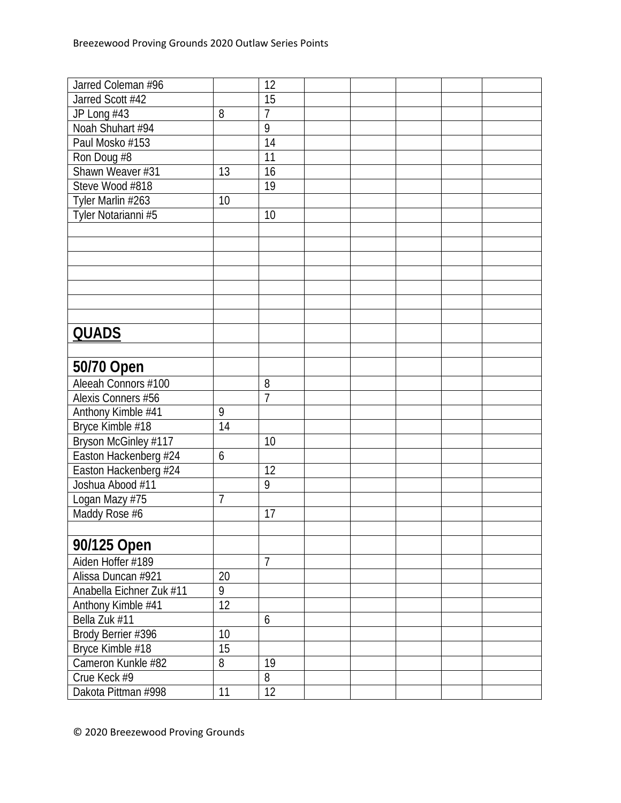| Jarred Coleman #96       |                 | 12             |  |  |  |
|--------------------------|-----------------|----------------|--|--|--|
| Jarred Scott #42         |                 | 15             |  |  |  |
| JP Long #43              | 8               | $\overline{7}$ |  |  |  |
| Noah Shuhart #94         |                 | 9              |  |  |  |
| Paul Mosko #153          |                 | 14             |  |  |  |
| Ron Doug #8              |                 | 11             |  |  |  |
| Shawn Weaver #31         | 13              | 16             |  |  |  |
| Steve Wood #818          |                 | 19             |  |  |  |
| Tyler Marlin #263        | 10              |                |  |  |  |
| Tyler Notarianni #5      |                 | 10             |  |  |  |
|                          |                 |                |  |  |  |
|                          |                 |                |  |  |  |
|                          |                 |                |  |  |  |
|                          |                 |                |  |  |  |
|                          |                 |                |  |  |  |
|                          |                 |                |  |  |  |
|                          |                 |                |  |  |  |
| <b>QUADS</b>             |                 |                |  |  |  |
|                          |                 |                |  |  |  |
|                          |                 |                |  |  |  |
| 50/70 Open               |                 |                |  |  |  |
| Aleeah Connors #100      |                 | 8              |  |  |  |
| Alexis Conners #56       |                 | $\overline{1}$ |  |  |  |
| Anthony Kimble #41       | 9               |                |  |  |  |
| Bryce Kimble #18         | 14              |                |  |  |  |
| Bryson McGinley #117     |                 | 10             |  |  |  |
| Easton Hackenberg #24    | 6               |                |  |  |  |
| Easton Hackenberg #24    |                 | 12             |  |  |  |
| Joshua Abood #11         |                 | 9              |  |  |  |
| Logan Mazy #75           | $\overline{1}$  |                |  |  |  |
| Maddy Rose #6            |                 | 17             |  |  |  |
|                          |                 |                |  |  |  |
| 90/125 Open              |                 |                |  |  |  |
| Aiden Hoffer #189        |                 | $\overline{7}$ |  |  |  |
| Alissa Duncan #921       | $20\,$          |                |  |  |  |
| Anabella Eichner Zuk #11 | 9               |                |  |  |  |
| Anthony Kimble #41       | 12              |                |  |  |  |
| Bella Zuk #11            |                 | 6              |  |  |  |
| Brody Berrier #396       | 10              |                |  |  |  |
| Bryce Kimble #18         | $\overline{15}$ |                |  |  |  |
| Cameron Kunkle #82       | 8               | 19             |  |  |  |
| Crue Keck #9             |                 | 8              |  |  |  |
| Dakota Pittman #998      | 11              | 12             |  |  |  |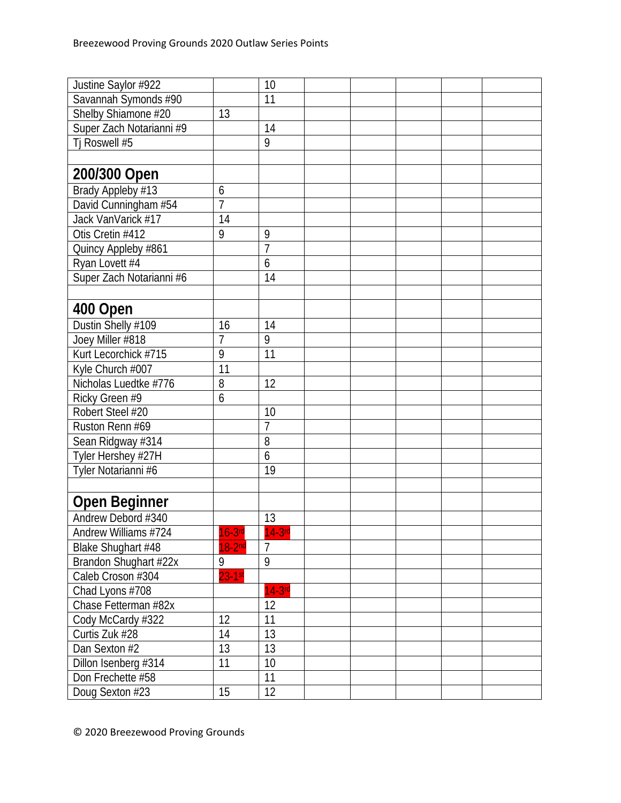| Justine Saylor #922      |                | 10             |  |  |  |
|--------------------------|----------------|----------------|--|--|--|
| Savannah Symonds #90     |                | 11             |  |  |  |
| Shelby Shiamone #20      | 13             |                |  |  |  |
| Super Zach Notarianni #9 |                | 14             |  |  |  |
| Tj Roswell #5            |                | 9              |  |  |  |
|                          |                |                |  |  |  |
| 200/300 Open             |                |                |  |  |  |
| Brady Appleby #13        | 6              |                |  |  |  |
| David Cunningham #54     | $\overline{1}$ |                |  |  |  |
| Jack VanVarick #17       | 14             |                |  |  |  |
| Otis Cretin #412         | 9              | 9              |  |  |  |
| Quincy Appleby #861      |                | $\overline{1}$ |  |  |  |
| Ryan Lovett #4           |                | 6              |  |  |  |
| Super Zach Notarianni #6 |                | 14             |  |  |  |
|                          |                |                |  |  |  |
| 400 Open                 |                |                |  |  |  |
| Dustin Shelly #109       | 16             | 14             |  |  |  |
| Joey Miller #818         | $\overline{1}$ | 9              |  |  |  |
| Kurt Lecorchick #715     | 9              | 11             |  |  |  |
| Kyle Church #007         | 11             |                |  |  |  |
| Nicholas Luedtke #776    | 8              | 12             |  |  |  |
| Ricky Green #9           | 6              |                |  |  |  |
| Robert Steel #20         |                | 10             |  |  |  |
| Ruston Renn #69          |                | $\overline{7}$ |  |  |  |
| Sean Ridgway #314        |                | 8              |  |  |  |
| Tyler Hershey #27H       |                | 6              |  |  |  |
| Tyler Notarianni #6      |                | 19             |  |  |  |
|                          |                |                |  |  |  |
| <b>Open Beginner</b>     |                |                |  |  |  |
| Andrew Debord #340       |                | 13             |  |  |  |
| Andrew Williams #724     | $16-3$ rd      | $14-3$ rd      |  |  |  |
| Blake Shughart #48       | $18-2nd$       | $\overline{7}$ |  |  |  |
| Brandon Shughart #22x    | 9              | 9              |  |  |  |
| Caleb Croson #304        | $23 - 1st$     |                |  |  |  |
| Chad Lyons #708          |                | $14-3rd$       |  |  |  |
| Chase Fetterman #82x     |                | 12             |  |  |  |
| Cody McCardy #322        | 12             | 11             |  |  |  |
| Curtis Zuk #28           | 14             | 13             |  |  |  |
| Dan Sexton #2            | 13             | 13             |  |  |  |
| Dillon Isenberg #314     | 11             | 10             |  |  |  |
| Don Frechette #58        |                | 11             |  |  |  |
| Doug Sexton #23          | 15             | 12             |  |  |  |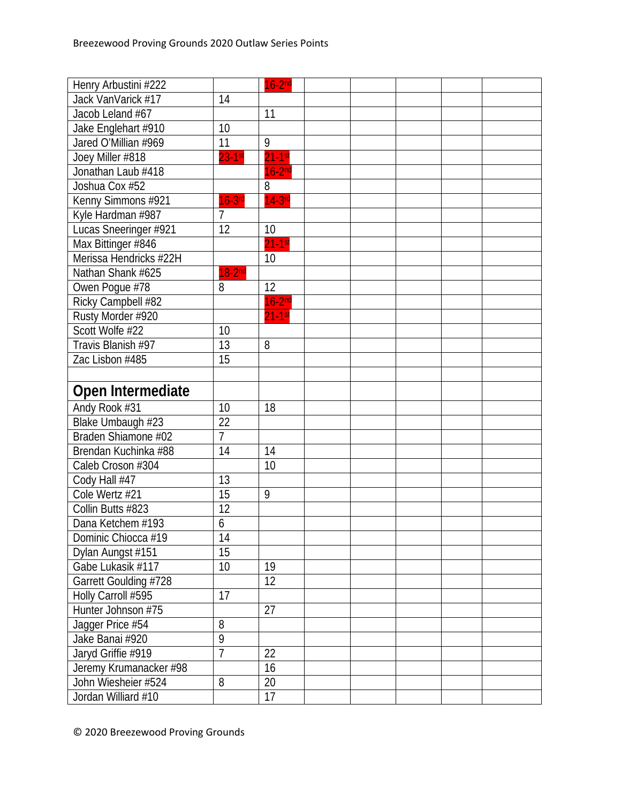| Henry Arbustini #222   |                | $16-2nd$    |  |  |  |
|------------------------|----------------|-------------|--|--|--|
| Jack VanVarick #17     | 14             |             |  |  |  |
| Jacob Leland #67       |                | 11          |  |  |  |
| Jake Englehart #910    | 10             |             |  |  |  |
| Jared O'Millian #969   | 11             | 9           |  |  |  |
| Joey Miller #818       | $23-1st$       | $21-1$ st   |  |  |  |
| Jonathan Laub #418     |                | $16-2nd$    |  |  |  |
| Joshua Cox #52         |                | 8           |  |  |  |
| Kenny Simmons #921     | $16-3$ rd      | $14-3rd$    |  |  |  |
| Kyle Hardman #987      | $\overline{7}$ |             |  |  |  |
| Lucas Sneeringer #921  | 12             | 10          |  |  |  |
| Max Bittinger #846     |                | $21 - 1$ st |  |  |  |
| Merissa Hendricks #22H |                | 10          |  |  |  |
| Nathan Shank #625      | $18-2nd$       |             |  |  |  |
| Owen Pogue #78         | 8              | 12          |  |  |  |
| Ricky Campbell #82     |                | $16-2nd$    |  |  |  |
| Rusty Morder #920      |                | $21-1$ st   |  |  |  |
| Scott Wolfe #22        | 10             |             |  |  |  |
| Travis Blanish #97     | 13             | 8           |  |  |  |
| Zac Lisbon #485        | 15             |             |  |  |  |
|                        |                |             |  |  |  |
| Open Intermediate      |                |             |  |  |  |
| Andy Rook #31          | 10             | 18          |  |  |  |
| Blake Umbaugh #23      | 22             |             |  |  |  |
| Braden Shiamone #02    | $\overline{7}$ |             |  |  |  |
| Brendan Kuchinka #88   | 14             | 14          |  |  |  |
| Caleb Croson #304      |                | 10          |  |  |  |
| Cody Hall #47          | 13             |             |  |  |  |
| Cole Wertz #21         | 15             | 9           |  |  |  |
| Collin Butts #823      | 12             |             |  |  |  |
| Dana Ketchem #193      | 6              |             |  |  |  |
| Dominic Chiocca #19    | 14             |             |  |  |  |
| Dylan Aungst #151      | 15             |             |  |  |  |
| Gabe Lukasik #117      | 10             | 19          |  |  |  |
| Garrett Goulding #728  |                | 12          |  |  |  |
| Holly Carroll #595     | 17             |             |  |  |  |
| Hunter Johnson #75     |                | 27          |  |  |  |
| Jagger Price #54       | 8              |             |  |  |  |
| Jake Banai #920        | $\overline{9}$ |             |  |  |  |
| Jaryd Griffie #919     | $\overline{7}$ | 22          |  |  |  |
| Jeremy Krumanacker #98 |                | 16          |  |  |  |
| John Wiesheier #524    | 8              | 20          |  |  |  |
| Jordan Williard #10    |                | 17          |  |  |  |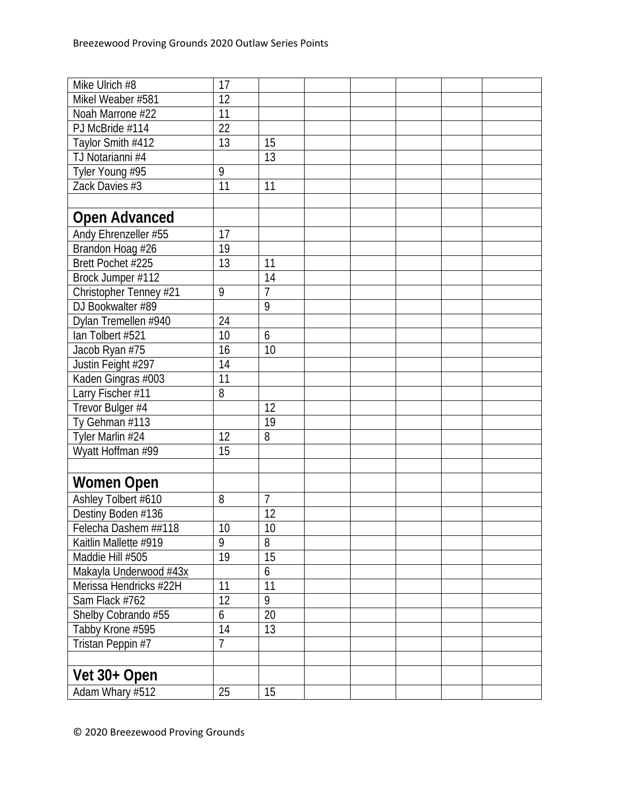| Mike Ulrich #8         | 17             |                |  |  |  |
|------------------------|----------------|----------------|--|--|--|
| Mikel Weaber #581      | 12             |                |  |  |  |
| Noah Marrone #22       | 11             |                |  |  |  |
| PJ McBride #114        | 22             |                |  |  |  |
| Taylor Smith #412      | 13             | 15             |  |  |  |
| TJ Notarianni #4       |                | 13             |  |  |  |
| Tyler Young #95        | 9              |                |  |  |  |
| Zack Davies #3         | 11             | 11             |  |  |  |
|                        |                |                |  |  |  |
| <b>Open Advanced</b>   |                |                |  |  |  |
| Andy Ehrenzeller #55   | 17             |                |  |  |  |
| Brandon Hoag #26       | 19             |                |  |  |  |
| Brett Pochet #225      | 13             | 11             |  |  |  |
| Brock Jumper #112      |                | 14             |  |  |  |
| Christopher Tenney #21 | 9              | $\overline{7}$ |  |  |  |
| DJ Bookwalter #89      |                | 9              |  |  |  |
| Dylan Tremellen #940   | 24             |                |  |  |  |
| lan Tolbert #521       | 10             | 6              |  |  |  |
| Jacob Ryan #75         | 16             | 10             |  |  |  |
| Justin Feight #297     | 14             |                |  |  |  |
| Kaden Gingras #003     | 11             |                |  |  |  |
| Larry Fischer #11      | 8              |                |  |  |  |
| Trevor Bulger #4       |                | 12             |  |  |  |
| Ty Gehman #113         |                | 19             |  |  |  |
| Tyler Marlin #24       | 12             | 8              |  |  |  |
| Wyatt Hoffman #99      | 15             |                |  |  |  |
|                        |                |                |  |  |  |
| <b>Women Open</b>      |                |                |  |  |  |
| Ashley Tolbert #610    | 8              | $\overline{7}$ |  |  |  |
| Destiny Boden #136     |                | 12             |  |  |  |
| Felecha Dashem ##118   | 10             | 10             |  |  |  |
| Kaitlin Mallette #919  | 9              | 8              |  |  |  |
| Maddie Hill #505       | 19             | 15             |  |  |  |
| Makayla Underwood #43x |                | 6              |  |  |  |
| Merissa Hendricks #22H | 11             | 11             |  |  |  |
| Sam Flack #762         | 12             | 9              |  |  |  |
| Shelby Cobrando #55    | 6              | 20             |  |  |  |
| Tabby Krone #595       | 14             | 13             |  |  |  |
| Tristan Peppin #7      | $\overline{7}$ |                |  |  |  |
|                        |                |                |  |  |  |
| Vet 30+ Open           |                |                |  |  |  |
| Adam Whary #512        | 25             | 15             |  |  |  |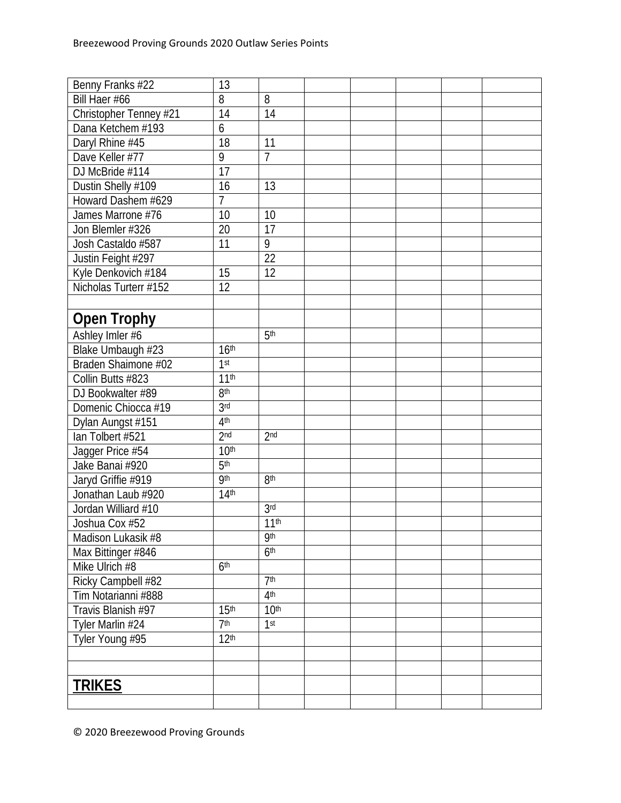| Benny Franks #22       | 13               |                  |  |  |  |
|------------------------|------------------|------------------|--|--|--|
| Bill Haer #66          | 8                | 8                |  |  |  |
| Christopher Tenney #21 | 14               | 14               |  |  |  |
| Dana Ketchem #193      | 6                |                  |  |  |  |
| Daryl Rhine #45        | 18               | 11               |  |  |  |
| Dave Keller #77        | 9                | $\overline{1}$   |  |  |  |
| DJ McBride #114        | 17               |                  |  |  |  |
| Dustin Shelly #109     | 16               | 13               |  |  |  |
| Howard Dashem #629     | $\overline{7}$   |                  |  |  |  |
| James Marrone #76      | 10               | 10               |  |  |  |
| Jon Blemler #326       | 20               | $\overline{17}$  |  |  |  |
| Josh Castaldo #587     | 11               | 9                |  |  |  |
| Justin Feight #297     |                  | 22               |  |  |  |
| Kyle Denkovich #184    | 15               | 12               |  |  |  |
| Nicholas Turterr #152  | 12               |                  |  |  |  |
|                        |                  |                  |  |  |  |
| <b>Open Trophy</b>     |                  |                  |  |  |  |
| Ashley Imler #6        |                  | 5 <sup>th</sup>  |  |  |  |
| Blake Umbaugh #23      | 16 <sup>th</sup> |                  |  |  |  |
| Braden Shaimone #02    | 1 <sup>st</sup>  |                  |  |  |  |
| Collin Butts #823      | 11 <sup>th</sup> |                  |  |  |  |
| DJ Bookwalter #89      | 8 <sup>th</sup>  |                  |  |  |  |
| Domenic Chiocca #19    | 3 <sub>rd</sub>  |                  |  |  |  |
| Dylan Aungst #151      | 4 <sup>th</sup>  |                  |  |  |  |
| Ian Tolbert #521       | 2 <sub>nd</sub>  | 2 <sub>nd</sub>  |  |  |  |
| Jagger Price #54       | 10 <sup>th</sup> |                  |  |  |  |
| Jake Banai #920        | 5 <sup>th</sup>  |                  |  |  |  |
| Jaryd Griffie #919     | <b>9th</b>       | 8 <sup>th</sup>  |  |  |  |
| Jonathan Laub #920     | 14 <sup>th</sup> |                  |  |  |  |
| Jordan Williard #10    |                  | 3 <sub>rd</sub>  |  |  |  |
| Joshua Cox #52         |                  | 11 <sup>th</sup> |  |  |  |
| Madison Lukasik #8     |                  | <b>9th</b>       |  |  |  |
| Max Bittinger #846     |                  | 6 <sup>th</sup>  |  |  |  |
| Mike Ulrich #8         | 6 <sup>th</sup>  |                  |  |  |  |
| Ricky Campbell #82     |                  | 7 <sup>th</sup>  |  |  |  |
| Tim Notarianni #888    |                  | 4 <sup>th</sup>  |  |  |  |
| Travis Blanish #97     | 15 <sup>th</sup> | 10 <sup>th</sup> |  |  |  |
| Tyler Marlin #24       | 7 <sup>th</sup>  | 1 <sup>st</sup>  |  |  |  |
| Tyler Young #95        | 12 <sup>th</sup> |                  |  |  |  |
|                        |                  |                  |  |  |  |
|                        |                  |                  |  |  |  |
| <b>TRIKES</b>          |                  |                  |  |  |  |
|                        |                  |                  |  |  |  |
|                        |                  |                  |  |  |  |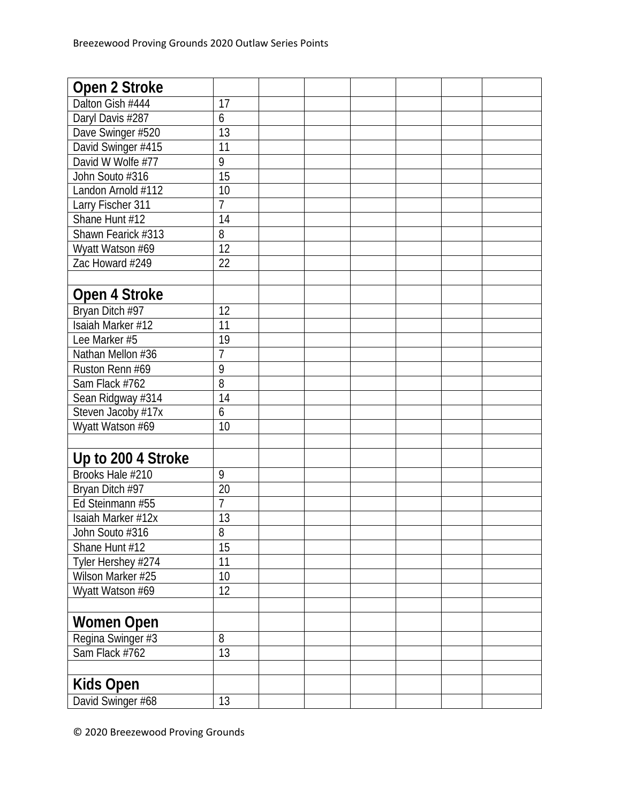| Open 2 Stroke      |                 |  |  |  |
|--------------------|-----------------|--|--|--|
| Dalton Gish #444   | 17              |  |  |  |
| Daryl Davis #287   | 6               |  |  |  |
| Dave Swinger #520  | $\overline{13}$ |  |  |  |
| David Swinger #415 | 11              |  |  |  |
| David W Wolfe #77  | 9               |  |  |  |
| John Souto #316    | 15              |  |  |  |
| Landon Arnold #112 | 10              |  |  |  |
| Larry Fischer 311  | $\overline{7}$  |  |  |  |
| Shane Hunt #12     | 14              |  |  |  |
| Shawn Fearick #313 | 8               |  |  |  |
| Wyatt Watson #69   | 12              |  |  |  |
| Zac Howard #249    | 22              |  |  |  |
|                    |                 |  |  |  |
| Open 4 Stroke      |                 |  |  |  |
| Bryan Ditch #97    | 12              |  |  |  |
| Isaiah Marker #12  | 11              |  |  |  |
| Lee Marker #5      | 19              |  |  |  |
| Nathan Mellon #36  | 7               |  |  |  |
| Ruston Renn #69    | 9               |  |  |  |
| Sam Flack #762     | 8               |  |  |  |
| Sean Ridgway #314  | 14              |  |  |  |
| Steven Jacoby #17x | 6               |  |  |  |
| Wyatt Watson #69   | 10              |  |  |  |
|                    |                 |  |  |  |
| Up to 200 4 Stroke |                 |  |  |  |
| Brooks Hale #210   | 9               |  |  |  |
| Bryan Ditch #97    | 20              |  |  |  |
| Ed Steinmann #55   | $\overline{7}$  |  |  |  |
| Isaiah Marker #12x | 13              |  |  |  |
| John Souto #316    | 8               |  |  |  |
| Shane Hunt #12     | 15              |  |  |  |
| Tyler Hershey #274 | 11              |  |  |  |
| Wilson Marker #25  | 10              |  |  |  |
| Wyatt Watson #69   | 12              |  |  |  |
|                    |                 |  |  |  |
| <b>Women Open</b>  |                 |  |  |  |
| Regina Swinger #3  | 8               |  |  |  |
| Sam Flack #762     | 13              |  |  |  |
|                    |                 |  |  |  |
| <b>Kids Open</b>   |                 |  |  |  |
| David Swinger #68  | 13              |  |  |  |